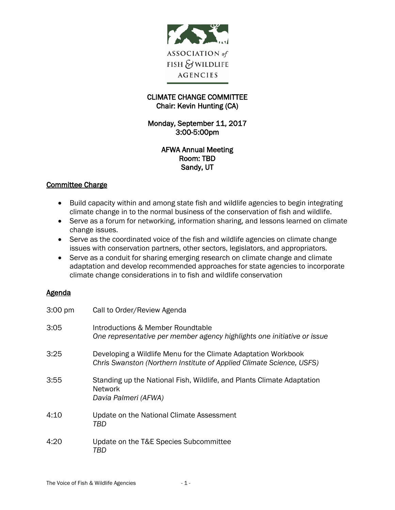

### CLIMATE CHANGE COMMITTEE Chair: Kevin Hunting (CA)

Monday, September 11, 2017 3:00-5:00pm

### AFWA Annual Meeting Room: TBD Sandy, UT

# Committee Charge

- Build capacity within and among state fish and wildlife agencies to begin integrating climate change in to the normal business of the conservation of fish and wildlife.
- Serve as a forum for networking, information sharing, and lessons learned on climate change issues.
- Serve as the coordinated voice of the fish and wildlife agencies on climate change issues with conservation partners, other sectors, legislators, and appropriators.
- Serve as a conduit for sharing emerging research on climate change and climate adaptation and develop recommended approaches for state agencies to incorporate climate change considerations in to fish and wildlife conservation

### **Agenda**

| 3:00 pm | Call to Order/Review Agenda                                                                                                            |
|---------|----------------------------------------------------------------------------------------------------------------------------------------|
| 3:05    | Introductions & Member Roundtable<br>One representative per member agency highlights one initiative or issue                           |
| 3:25    | Developing a Wildlife Menu for the Climate Adaptation Workbook<br>Chris Swanston (Northern Institute of Applied Climate Science, USFS) |
| 3:55    | Standing up the National Fish, Wildlife, and Plants Climate Adaptation<br><b>Network</b><br>Davia Palmeri (AFWA)                       |
| 4:10    | Update on the National Climate Assessment<br>TBD                                                                                       |
| 4:20    | Update on the T&E Species Subcommittee<br>TBD                                                                                          |